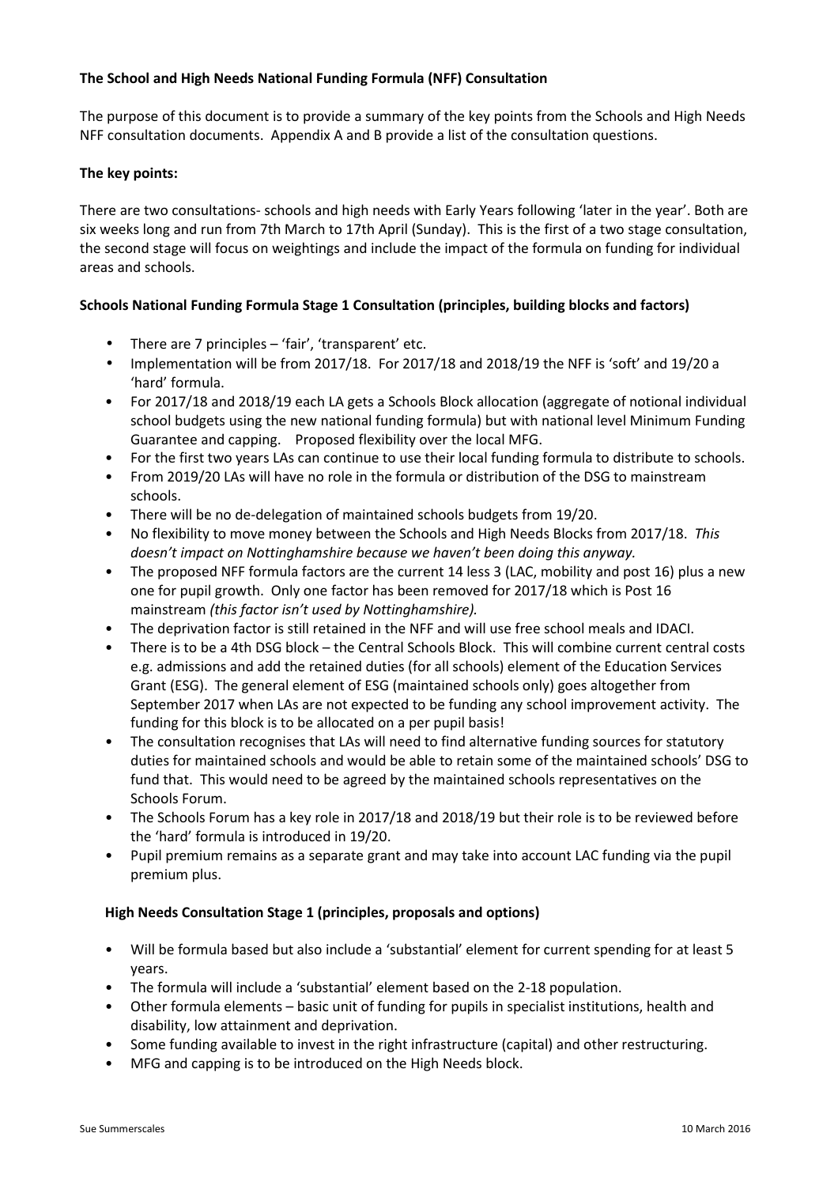### **The School and High Needs National Funding Formula (NFF) Consultation**

The purpose of this document is to provide a summary of the key points from the Schools and High Needs NFF consultation documents. Appendix A and B provide a list of the consultation questions.

## **The key points:**

There are two consultations- schools and high needs with Early Years following 'later in the year'. Both are six weeks long and run from 7th March to 17th April (Sunday). This is the first of a two stage consultation, the second stage will focus on weightings and include the impact of the formula on funding for individual areas and schools.

## **Schools National Funding Formula Stage 1 Consultation (principles, building blocks and factors)**

- There are 7 principles 'fair', 'transparent' etc.
- Implementation will be from 2017/18. For 2017/18 and 2018/19 the NFF is 'soft' and 19/20 a 'hard' formula.
- For 2017/18 and 2018/19 each LA gets a Schools Block allocation (aggregate of notional individual school budgets using the new national funding formula) but with national level Minimum Funding Guarantee and capping. Proposed flexibility over the local MFG.
- For the first two years LAs can continue to use their local funding formula to distribute to schools.
- From 2019/20 LAs will have no role in the formula or distribution of the DSG to mainstream schools.
- There will be no de-delegation of maintained schools budgets from 19/20.
- No flexibility to move money between the Schools and High Needs Blocks from 2017/18. *This doesn't impact on Nottinghamshire because we haven't been doing this anyway.*
- The proposed NFF formula factors are the current 14 less 3 (LAC, mobility and post 16) plus a new one for pupil growth. Only one factor has been removed for 2017/18 which is Post 16 mainstream *(this factor isn't used by Nottinghamshire).*
- The deprivation factor is still retained in the NFF and will use free school meals and IDACI.
- There is to be a 4th DSG block the Central Schools Block. This will combine current central costs e.g. admissions and add the retained duties (for all schools) element of the Education Services Grant (ESG). The general element of ESG (maintained schools only) goes altogether from September 2017 when LAs are not expected to be funding any school improvement activity. The funding for this block is to be allocated on a per pupil basis!
- The consultation recognises that LAs will need to find alternative funding sources for statutory duties for maintained schools and would be able to retain some of the maintained schools' DSG to fund that. This would need to be agreed by the maintained schools representatives on the Schools Forum.
- The Schools Forum has a key role in 2017/18 and 2018/19 but their role is to be reviewed before the 'hard' formula is introduced in 19/20.
- Pupil premium remains as a separate grant and may take into account LAC funding via the pupil premium plus.

#### **High Needs Consultation Stage 1 (principles, proposals and options)**

- Will be formula based but also include a 'substantial' element for current spending for at least 5 years.
- The formula will include a 'substantial' element based on the 2-18 population.
- Other formula elements basic unit of funding for pupils in specialist institutions, health and disability, low attainment and deprivation.
- Some funding available to invest in the right infrastructure (capital) and other restructuring.
- MFG and capping is to be introduced on the High Needs block.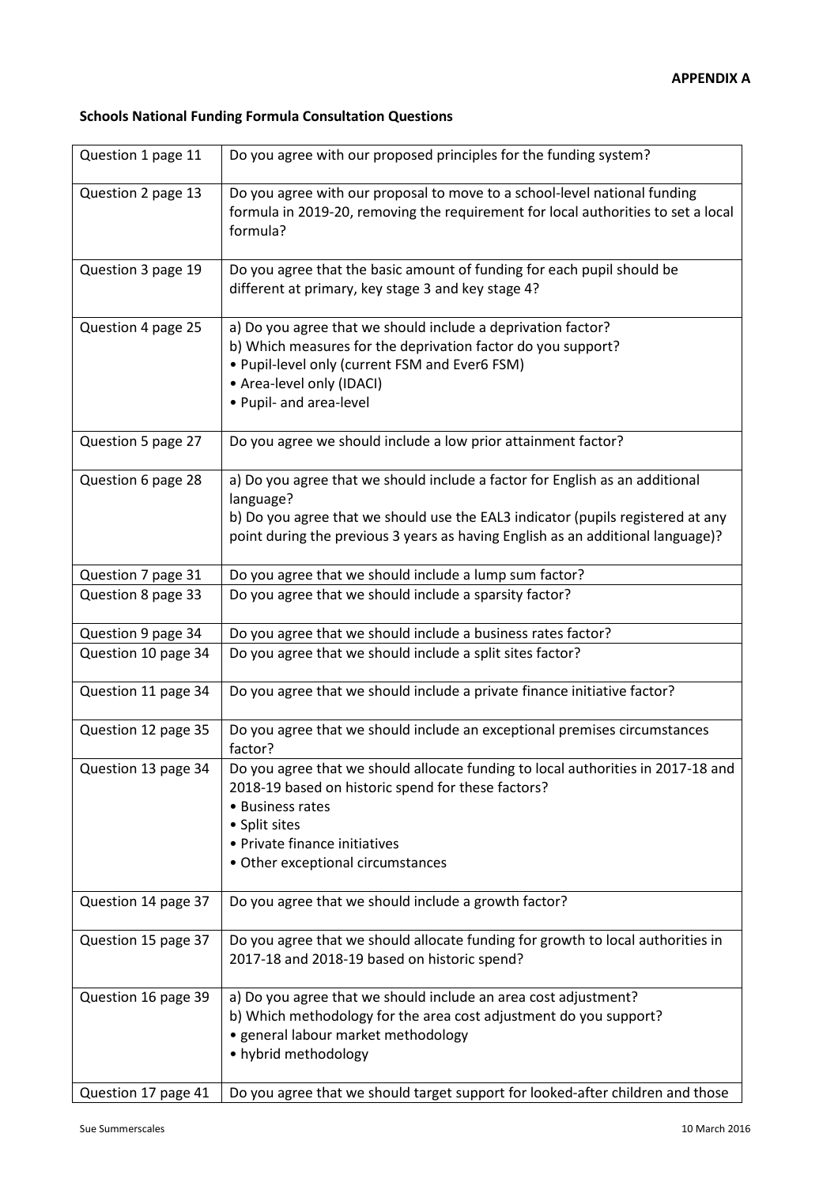# **Schools National Funding Formula Consultation Questions**

| Question 1 page 11  | Do you agree with our proposed principles for the funding system?                                                                                                                                                                                               |
|---------------------|-----------------------------------------------------------------------------------------------------------------------------------------------------------------------------------------------------------------------------------------------------------------|
| Question 2 page 13  | Do you agree with our proposal to move to a school-level national funding<br>formula in 2019-20, removing the requirement for local authorities to set a local<br>formula?                                                                                      |
| Question 3 page 19  | Do you agree that the basic amount of funding for each pupil should be<br>different at primary, key stage 3 and key stage 4?                                                                                                                                    |
| Question 4 page 25  | a) Do you agree that we should include a deprivation factor?<br>b) Which measures for the deprivation factor do you support?<br>. Pupil-level only (current FSM and Ever6 FSM)<br>• Area-level only (IDACI)<br>• Pupil- and area-level                          |
| Question 5 page 27  | Do you agree we should include a low prior attainment factor?                                                                                                                                                                                                   |
| Question 6 page 28  | a) Do you agree that we should include a factor for English as an additional<br>language?<br>b) Do you agree that we should use the EAL3 indicator (pupils registered at any<br>point during the previous 3 years as having English as an additional language)? |
| Question 7 page 31  | Do you agree that we should include a lump sum factor?                                                                                                                                                                                                          |
| Question 8 page 33  | Do you agree that we should include a sparsity factor?                                                                                                                                                                                                          |
| Question 9 page 34  | Do you agree that we should include a business rates factor?                                                                                                                                                                                                    |
| Question 10 page 34 | Do you agree that we should include a split sites factor?                                                                                                                                                                                                       |
| Question 11 page 34 | Do you agree that we should include a private finance initiative factor?                                                                                                                                                                                        |
| Question 12 page 35 | Do you agree that we should include an exceptional premises circumstances<br>factor?                                                                                                                                                                            |
| Question 13 page 34 | Do you agree that we should allocate funding to local authorities in 2017-18 and<br>2018-19 based on historic spend for these factors?<br>• Business rates<br>• Split sites<br>• Private finance initiatives<br>• Other exceptional circumstances               |
| Question 14 page 37 | Do you agree that we should include a growth factor?                                                                                                                                                                                                            |
| Question 15 page 37 | Do you agree that we should allocate funding for growth to local authorities in<br>2017-18 and 2018-19 based on historic spend?                                                                                                                                 |
| Question 16 page 39 | a) Do you agree that we should include an area cost adjustment?<br>b) Which methodology for the area cost adjustment do you support?<br>· general labour market methodology<br>• hybrid methodology                                                             |
| Question 17 page 41 | Do you agree that we should target support for looked-after children and those                                                                                                                                                                                  |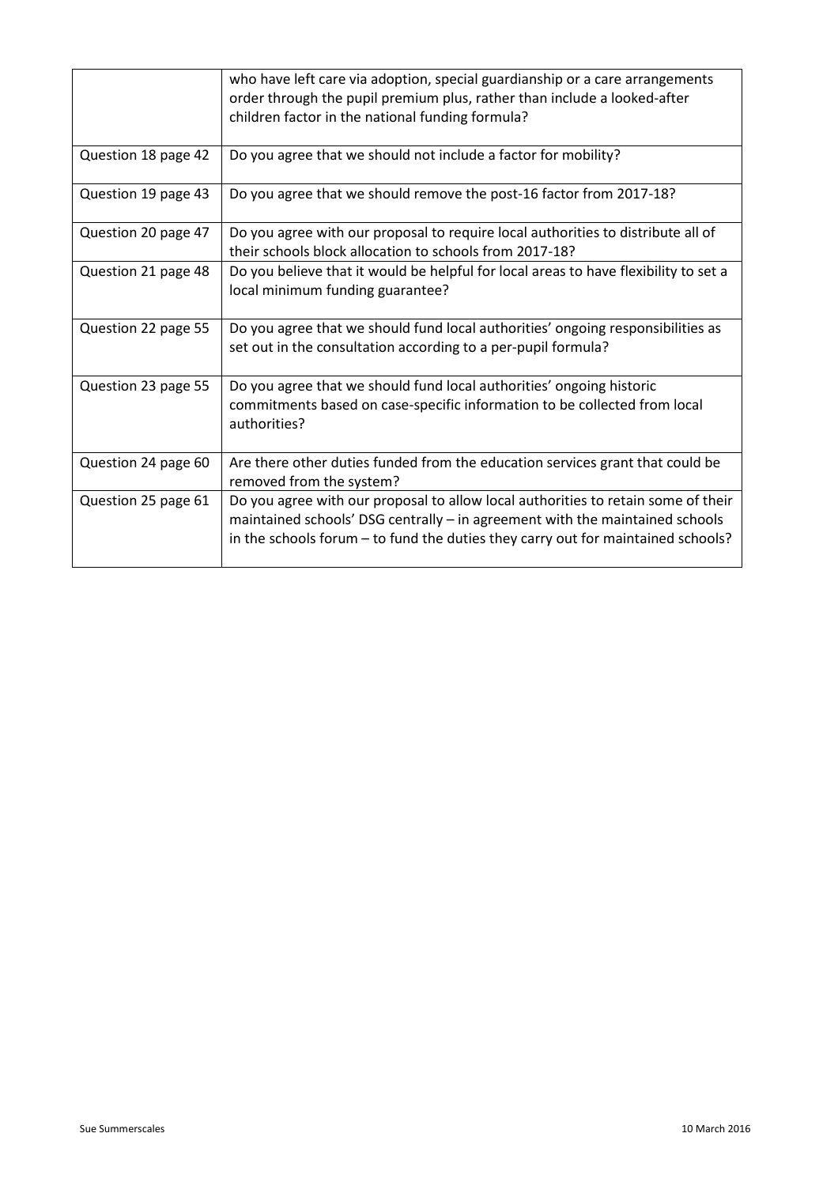|                     | who have left care via adoption, special guardianship or a care arrangements<br>order through the pupil premium plus, rather than include a looked-after<br>children factor in the national funding formula?                                          |
|---------------------|-------------------------------------------------------------------------------------------------------------------------------------------------------------------------------------------------------------------------------------------------------|
| Question 18 page 42 | Do you agree that we should not include a factor for mobility?                                                                                                                                                                                        |
| Question 19 page 43 | Do you agree that we should remove the post-16 factor from 2017-18?                                                                                                                                                                                   |
| Question 20 page 47 | Do you agree with our proposal to require local authorities to distribute all of<br>their schools block allocation to schools from 2017-18?                                                                                                           |
| Question 21 page 48 | Do you believe that it would be helpful for local areas to have flexibility to set a<br>local minimum funding guarantee?                                                                                                                              |
| Question 22 page 55 | Do you agree that we should fund local authorities' ongoing responsibilities as<br>set out in the consultation according to a per-pupil formula?                                                                                                      |
| Question 23 page 55 | Do you agree that we should fund local authorities' ongoing historic<br>commitments based on case-specific information to be collected from local<br>authorities?                                                                                     |
| Question 24 page 60 | Are there other duties funded from the education services grant that could be<br>removed from the system?                                                                                                                                             |
| Question 25 page 61 | Do you agree with our proposal to allow local authorities to retain some of their<br>maintained schools' DSG centrally - in agreement with the maintained schools<br>in the schools forum - to fund the duties they carry out for maintained schools? |